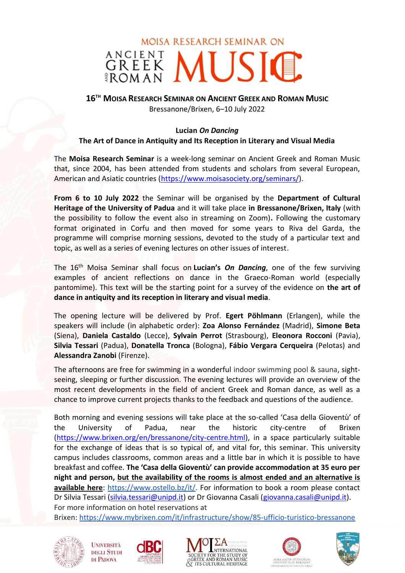# **MOISA RESEARCH SEMINAR ON** GREEK MUSIC

## **16TH MOISA RESEARCH SEMINAR ON ANCIENT GREEK AND ROMAN MUSIC** Bressanone/Brixen, 6–10 July 2022

### **Lucian** *On Dancing*

### **The Art of Dance in Antiquity and Its Reception in Literary and Visual Media**

The **Moisa Research Seminar** is a week-long seminar on Ancient Greek and Roman Music that, since 2004, has been attended from students and scholars from several European, American and Asiatic countries [\(https://www.moisasociety.org/seminars/\)](https://www.moisasociety.org/seminars/).

**From 6 to 10 July 2022** the Seminar will be organised by the **Department of Cultural Heritage of the University of Padua** and it will take place **in Bressanone/Brixen, Italy** (with the possibility to follow the event also in streaming on Zoom)**.** Following the customary format originated in Corfu and then moved for some years to Riva del Garda, the programme will comprise morning sessions, devoted to the study of a particular text and topic, as well as a series of evening lectures on other issues of interest.

The 16th Moisa Seminar shall focus on **Lucian's** *On Dancing*, one of the few surviving examples of ancient reflections on dance in the Graeco-Roman world (especially pantomime). This text will be the starting point for a survey of the evidence on **the art of dance in antiquity and its reception in literary and visual media**.

The opening lecture will be delivered by Prof. **Egert Pöhlmann** (Erlangen), while the speakers will include (in alphabetic order): **Zoa Alonso Fernández** (Madrid), **Simone Beta** (Siena), **Daniela Castaldo** (Lecce), **Sylvain Perrot** (Strasbourg), **Eleonora Rocconi** (Pavia), **Silvia Tessari** (Padua), **Donatella Tronca** (Bologna), **Fábio Vergara Cerqueira** (Pelotas) and **Alessandra Zanobi** (Firenze).

The afternoons are free for swimming in a wonderful indoor swimming pool & sauna, sightseeing, sleeping or further discussion. The evening lectures will provide an overview of the most recent developments in the field of ancient Greek and Roman dance, as well as a chance to improve current projects thanks to the feedback and questions of the audience.

Both morning and evening sessions will take place at the so-called 'Casa della Gioventù' of the University of Padua, near the historic city-centre of Brixen [\(https://www.brixen.org/en/bressanone/city-centre.html\)](https://www.brixen.org/en/bressanone/city-centre.html), in a space particularly suitable for the exchange of ideas that is so typical of, and vital for, this seminar. This university campus includes classrooms, common areas and a little bar in which it is possible to have breakfast and coffee. **The 'Casa della Gioventù' can provide accommodation at 35 euro per night and person, but the availability of the rooms is almost ended and an alternative is available here**: [https://www.ostello.bz/it/.](https://www.ostello.bz/it/) For information to book a room please contact Dr Silvia Tessari [\(silvia.tessari@unipd.it\)](file:///C:/Users/toshiba/Downloads/silvia.tessari@unipd.it) or Dr Giovanna Casali [\(giovanna.casali@unipd.it\)](file:///C:/Users/toshiba/Downloads/giovanna.casali@unipd.it). For more information on hotel reservations at Brixen: <https://www.mybrixen.com/it/infrastructure/show/85-ufficio-turistico-bressanone>











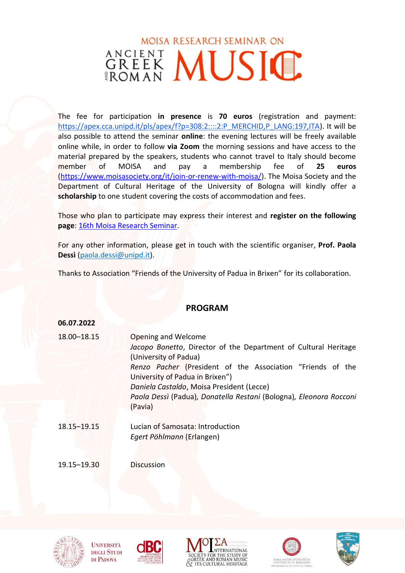# **MOISA RESEARCH SEMINAR ON GREEK MUSIC**

The fee for participation **in presence** is **70 euros** (registration and payment: [https://apex.cca.unipd.it/pls/apex/f?p=308:2::::2:P\\_MERCHID,P\\_LANG:197,ITA\)](https://apex.cca.unipd.it/pls/apex/f?p=308:2::::2:P_MERCHID,P_LANG:197,ITA). It will be also possible to attend the seminar **online**: the evening lectures will be freely available online while, in order to follow **via Zoom** the morning sessions and have access to the material prepared by the speakers, students who cannot travel to Italy should become member of MOISA and pay a membership fee of **25 euros** [\(https://www.moisasociety.org/it/join-or-renew-with-moisa/\)](https://www.moisasociety.org/it/join-or-renew-with-moisa/). The Moisa Society and the Department of Cultural Heritage of the University of Bologna will kindly offer a **scholarship** to one student covering the costs of accommodation and fees.

Those who plan to participate may express their interest and **register on the following page**: [16th Moisa Research Seminar.](https://forms.gle/JfKhZTyUmuSPWtdj7)

For any other information, please get in touch with the scientific organiser, **Prof. Paola Dessì** [\(paola.dessi@unipd.it\)](file:///E:/__PD/_SEMINARS%20MOISA/_16th%20Moisa%20Seminars/paola.dessi@unipd.it).

Thanks to Association "Friends of the University of Padua in Brixen" for its collaboration.

### **PROGRAM**

#### **06.07.2022**

| 18.00-18.15 | Opening and Welcome<br>Jacopo Bonetto, Director of the Department of Cultural Heritage<br>(University of Padua)                                                                                                  |
|-------------|------------------------------------------------------------------------------------------------------------------------------------------------------------------------------------------------------------------|
|             | Renzo Pacher (President of the Association "Friends of the<br>University of Padua in Brixen")<br>Daniela Castaldo, Moisa President (Lecce)<br>Paola Dessì (Padua), Donatella Restani (Bologna), Eleonora Rocconi |
| 18.15-19.15 | (Pavia)<br>Lucian of Samosata: Introduction                                                                                                                                                                      |
|             | Egert Pöhlmann (Erlangen)                                                                                                                                                                                        |

19.15–19.30 Discussion



**UNIVERSITÀ DEGLI STUDI** DI PADOVA